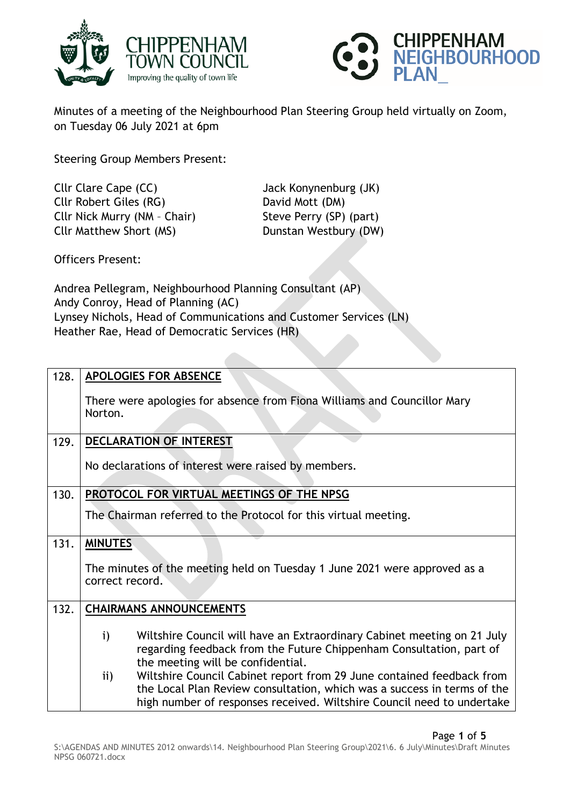



Minutes of a meeting of the Neighbourhood Plan Steering Group held virtually on Zoom, on Tuesday 06 July 2021 at 6pm

Steering Group Members Present:

Cllr Clare Cape (CC) Jack Konynenburg (JK) Cllr Robert Giles (RG) David Mott (DM) Cllr Nick Murry (NM - Chair) Steve Perry (SP) (part) Cllr Matthew Short (MS) Dunstan Westbury (DW)

Officers Present:

Andrea Pellegram, Neighbourhood Planning Consultant (AP) Andy Conroy, Head of Planning (AC) Lynsey Nichols, Head of Communications and Customer Services (LN) Heather Rae, Head of Democratic Services (HR)

| 128. | <b>APOLOGIES FOR ABSENCE</b>                                                                                                                                                                                                                |
|------|---------------------------------------------------------------------------------------------------------------------------------------------------------------------------------------------------------------------------------------------|
|      | There were apologies for absence from Fiona Williams and Councillor Mary<br>Norton.                                                                                                                                                         |
| 129. | DECLARATION OF INTEREST                                                                                                                                                                                                                     |
|      | No declarations of interest were raised by members.                                                                                                                                                                                         |
| 130. | PROTOCOL FOR VIRTUAL MEETINGS OF THE NPSG                                                                                                                                                                                                   |
|      | The Chairman referred to the Protocol for this virtual meeting.                                                                                                                                                                             |
| 131. | <b>MINUTES</b>                                                                                                                                                                                                                              |
|      | The minutes of the meeting held on Tuesday 1 June 2021 were approved as a<br>correct record.                                                                                                                                                |
| 132. | <b>CHAIRMANS ANNOUNCEMENTS</b>                                                                                                                                                                                                              |
|      | $\mathbf{i}$<br>Wiltshire Council will have an Extraordinary Cabinet meeting on 21 July<br>regarding feedback from the Future Chippenham Consultation, part of<br>the meeting will be confidential.                                         |
|      | Wiltshire Council Cabinet report from 29 June contained feedback from<br>$\mathbf{ii}$<br>the Local Plan Review consultation, which was a success in terms of the<br>high number of responses received. Wiltshire Council need to undertake |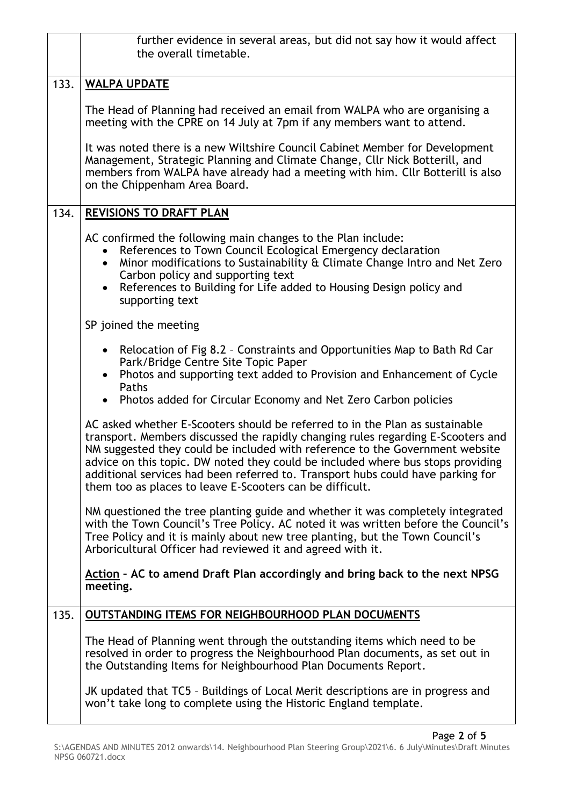|      | further evidence in several areas, but did not say how it would affect<br>the overall timetable.                                                                                                                                                                                                                                                                                                                                                                                   |
|------|------------------------------------------------------------------------------------------------------------------------------------------------------------------------------------------------------------------------------------------------------------------------------------------------------------------------------------------------------------------------------------------------------------------------------------------------------------------------------------|
| 133. | <b>WALPA UPDATE</b>                                                                                                                                                                                                                                                                                                                                                                                                                                                                |
|      | The Head of Planning had received an email from WALPA who are organising a<br>meeting with the CPRE on 14 July at 7pm if any members want to attend.                                                                                                                                                                                                                                                                                                                               |
|      | It was noted there is a new Wiltshire Council Cabinet Member for Development<br>Management, Strategic Planning and Climate Change, Cllr Nick Botterill, and<br>members from WALPA have already had a meeting with him. Cllr Botterill is also<br>on the Chippenham Area Board.                                                                                                                                                                                                     |
| 134. | <b>REVISIONS TO DRAFT PLAN</b>                                                                                                                                                                                                                                                                                                                                                                                                                                                     |
|      | AC confirmed the following main changes to the Plan include:<br>References to Town Council Ecological Emergency declaration<br>Minor modifications to Sustainability & Climate Change Intro and Net Zero<br>$\bullet$<br>Carbon policy and supporting text<br>References to Building for Life added to Housing Design policy and<br>supporting text                                                                                                                                |
|      | SP joined the meeting                                                                                                                                                                                                                                                                                                                                                                                                                                                              |
|      | Relocation of Fig 8.2 - Constraints and Opportunities Map to Bath Rd Car<br>Park/Bridge Centre Site Topic Paper<br>Photos and supporting text added to Provision and Enhancement of Cycle<br>Paths                                                                                                                                                                                                                                                                                 |
|      | • Photos added for Circular Economy and Net Zero Carbon policies                                                                                                                                                                                                                                                                                                                                                                                                                   |
|      | AC asked whether E-Scooters should be referred to in the Plan as sustainable<br>transport. Members discussed the rapidly changing rules regarding E-Scooters and<br>NM suggested they could be included with reference to the Government website<br>advice on this topic. DW noted they could be included where bus stops providing<br>additional services had been referred to. Transport hubs could have parking for<br>them too as places to leave E-Scooters can be difficult. |
|      | NM questioned the tree planting guide and whether it was completely integrated<br>with the Town Council's Tree Policy. AC noted it was written before the Council's<br>Tree Policy and it is mainly about new tree planting, but the Town Council's<br>Arboricultural Officer had reviewed it and agreed with it.                                                                                                                                                                  |
|      | Action - AC to amend Draft Plan accordingly and bring back to the next NPSG<br>meeting.                                                                                                                                                                                                                                                                                                                                                                                            |
| 135. | OUTSTANDING ITEMS FOR NEIGHBOURHOOD PLAN DOCUMENTS                                                                                                                                                                                                                                                                                                                                                                                                                                 |
|      | The Head of Planning went through the outstanding items which need to be<br>resolved in order to progress the Neighbourhood Plan documents, as set out in<br>the Outstanding Items for Neighbourhood Plan Documents Report.                                                                                                                                                                                                                                                        |
|      | JK updated that TC5 - Buildings of Local Merit descriptions are in progress and<br>won't take long to complete using the Historic England template.                                                                                                                                                                                                                                                                                                                                |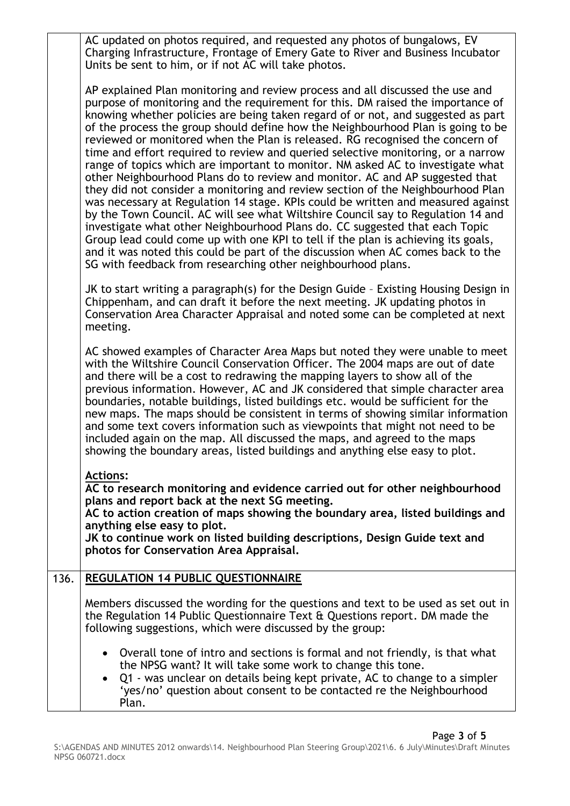|      | AC updated on photos required, and requested any photos of bungalows, EV<br>Charging Infrastructure, Frontage of Emery Gate to River and Business Incubator<br>Units be sent to him, or if not AC will take photos.                                                                                                                                                                                                                                                                                                                                                                                                                                                                                                                                                                                                                                                                                                                                                                                                                                                                                                                                                                                                                                                |
|------|--------------------------------------------------------------------------------------------------------------------------------------------------------------------------------------------------------------------------------------------------------------------------------------------------------------------------------------------------------------------------------------------------------------------------------------------------------------------------------------------------------------------------------------------------------------------------------------------------------------------------------------------------------------------------------------------------------------------------------------------------------------------------------------------------------------------------------------------------------------------------------------------------------------------------------------------------------------------------------------------------------------------------------------------------------------------------------------------------------------------------------------------------------------------------------------------------------------------------------------------------------------------|
|      | AP explained Plan monitoring and review process and all discussed the use and<br>purpose of monitoring and the requirement for this. DM raised the importance of<br>knowing whether policies are being taken regard of or not, and suggested as part<br>of the process the group should define how the Neighbourhood Plan is going to be<br>reviewed or monitored when the Plan is released. RG recognised the concern of<br>time and effort required to review and queried selective monitoring, or a narrow<br>range of topics which are important to monitor. NM asked AC to investigate what<br>other Neighbourhood Plans do to review and monitor. AC and AP suggested that<br>they did not consider a monitoring and review section of the Neighbourhood Plan<br>was necessary at Regulation 14 stage. KPIs could be written and measured against<br>by the Town Council. AC will see what Wiltshire Council say to Regulation 14 and<br>investigate what other Neighbourhood Plans do. CC suggested that each Topic<br>Group lead could come up with one KPI to tell if the plan is achieving its goals,<br>and it was noted this could be part of the discussion when AC comes back to the<br>SG with feedback from researching other neighbourhood plans. |
|      | JK to start writing a paragraph(s) for the Design Guide - Existing Housing Design in<br>Chippenham, and can draft it before the next meeting. JK updating photos in<br>Conservation Area Character Appraisal and noted some can be completed at next<br>meeting.                                                                                                                                                                                                                                                                                                                                                                                                                                                                                                                                                                                                                                                                                                                                                                                                                                                                                                                                                                                                   |
|      | AC showed examples of Character Area Maps but noted they were unable to meet<br>with the Wiltshire Council Conservation Officer. The 2004 maps are out of date<br>and there will be a cost to redrawing the mapping layers to show all of the<br>previous information. However, AC and JK considered that simple character area<br>boundaries, notable buildings, listed buildings etc. would be sufficient for the<br>new maps. The maps should be consistent in terms of showing similar information<br>and some text covers information such as viewpoints that might not need to be<br>included again on the map. All discussed the maps, and agreed to the maps<br>showing the boundary areas, listed buildings and anything else easy to plot.                                                                                                                                                                                                                                                                                                                                                                                                                                                                                                               |
|      | <b>Actions:</b><br>AC to research monitoring and evidence carried out for other neighbourhood<br>plans and report back at the next SG meeting.<br>AC to action creation of maps showing the boundary area, listed buildings and<br>anything else easy to plot.<br>JK to continue work on listed building descriptions, Design Guide text and<br>photos for Conservation Area Appraisal.                                                                                                                                                                                                                                                                                                                                                                                                                                                                                                                                                                                                                                                                                                                                                                                                                                                                            |
| 136. | <b>REGULATION 14 PUBLIC QUESTIONNAIRE</b>                                                                                                                                                                                                                                                                                                                                                                                                                                                                                                                                                                                                                                                                                                                                                                                                                                                                                                                                                                                                                                                                                                                                                                                                                          |
|      | Members discussed the wording for the questions and text to be used as set out in<br>the Regulation 14 Public Questionnaire Text & Questions report. DM made the<br>following suggestions, which were discussed by the group:                                                                                                                                                                                                                                                                                                                                                                                                                                                                                                                                                                                                                                                                                                                                                                                                                                                                                                                                                                                                                                      |
|      | • Overall tone of intro and sections is formal and not friendly, is that what<br>the NPSG want? It will take some work to change this tone.<br>Q1 - was unclear on details being kept private, AC to change to a simpler<br>'yes/no' question about consent to be contacted re the Neighbourhood<br>Plan.                                                                                                                                                                                                                                                                                                                                                                                                                                                                                                                                                                                                                                                                                                                                                                                                                                                                                                                                                          |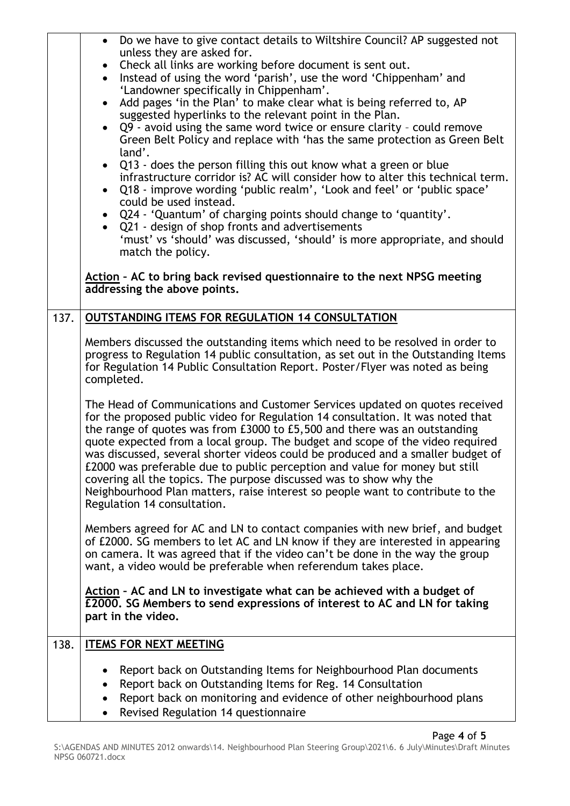|      | Do we have to give contact details to Wiltshire Council? AP suggested not<br>$\bullet$<br>unless they are asked for.<br>Check all links are working before document is sent out.<br>$\bullet$<br>Instead of using the word 'parish', use the word 'Chippenham' and<br>$\bullet$<br>'Landowner specifically in Chippenham'.<br>Add pages 'in the Plan' to make clear what is being referred to, AP<br>suggested hyperlinks to the relevant point in the Plan.<br>• Q9 - avoid using the same word twice or ensure clarity - could remove<br>Green Belt Policy and replace with 'has the same protection as Green Belt<br>land'.<br>• Q13 - does the person filling this out know what a green or blue<br>infrastructure corridor is? AC will consider how to alter this technical term.<br>Q18 - improve wording 'public realm', 'Look and feel' or 'public space'<br>could be used instead.<br>• Q24 - 'Quantum' of charging points should change to 'quantity'.<br>• Q21 - design of shop fronts and advertisements<br>'must' vs 'should' was discussed, 'should' is more appropriate, and should<br>match the policy.<br>Action - AC to bring back revised questionnaire to the next NPSG meeting |
|------|-----------------------------------------------------------------------------------------------------------------------------------------------------------------------------------------------------------------------------------------------------------------------------------------------------------------------------------------------------------------------------------------------------------------------------------------------------------------------------------------------------------------------------------------------------------------------------------------------------------------------------------------------------------------------------------------------------------------------------------------------------------------------------------------------------------------------------------------------------------------------------------------------------------------------------------------------------------------------------------------------------------------------------------------------------------------------------------------------------------------------------------------------------------------------------------------------------|
|      | addressing the above points.                                                                                                                                                                                                                                                                                                                                                                                                                                                                                                                                                                                                                                                                                                                                                                                                                                                                                                                                                                                                                                                                                                                                                                        |
| 137. | <b>OUTSTANDING ITEMS FOR REGULATION 14 CONSULTATION</b>                                                                                                                                                                                                                                                                                                                                                                                                                                                                                                                                                                                                                                                                                                                                                                                                                                                                                                                                                                                                                                                                                                                                             |
|      | Members discussed the outstanding items which need to be resolved in order to<br>progress to Regulation 14 public consultation, as set out in the Outstanding Items<br>for Regulation 14 Public Consultation Report. Poster/Flyer was noted as being<br>completed.                                                                                                                                                                                                                                                                                                                                                                                                                                                                                                                                                                                                                                                                                                                                                                                                                                                                                                                                  |
|      | The Head of Communications and Customer Services updated on quotes received<br>for the proposed public video for Regulation 14 consultation. It was noted that<br>the range of quotes was from £3000 to £5,500 and there was an outstanding<br>quote expected from a local group. The budget and scope of the video required<br>was discussed, several shorter videos could be produced and a smaller budget of<br>£2000 was preferable due to public perception and value for money but still<br>covering all the topics. The purpose discussed was to show why the<br>Neighbourhood Plan matters, raise interest so people want to contribute to the<br>Regulation 14 consultation.                                                                                                                                                                                                                                                                                                                                                                                                                                                                                                               |
|      | Members agreed for AC and LN to contact companies with new brief, and budget<br>of £2000. SG members to let AC and LN know if they are interested in appearing<br>on camera. It was agreed that if the video can't be done in the way the group<br>want, a video would be preferable when referendum takes place.                                                                                                                                                                                                                                                                                                                                                                                                                                                                                                                                                                                                                                                                                                                                                                                                                                                                                   |
|      | Action - AC and LN to investigate what can be achieved with a budget of<br>£2000. SG Members to send expressions of interest to AC and LN for taking<br>part in the video.                                                                                                                                                                                                                                                                                                                                                                                                                                                                                                                                                                                                                                                                                                                                                                                                                                                                                                                                                                                                                          |
| 138. | <b>ITEMS FOR NEXT MEETING</b>                                                                                                                                                                                                                                                                                                                                                                                                                                                                                                                                                                                                                                                                                                                                                                                                                                                                                                                                                                                                                                                                                                                                                                       |
|      | Report back on Outstanding Items for Neighbourhood Plan documents<br>Report back on Outstanding Items for Reg. 14 Consultation<br>$\bullet$<br>Report back on monitoring and evidence of other neighbourhood plans<br>٠<br>Revised Regulation 14 questionnaire                                                                                                                                                                                                                                                                                                                                                                                                                                                                                                                                                                                                                                                                                                                                                                                                                                                                                                                                      |